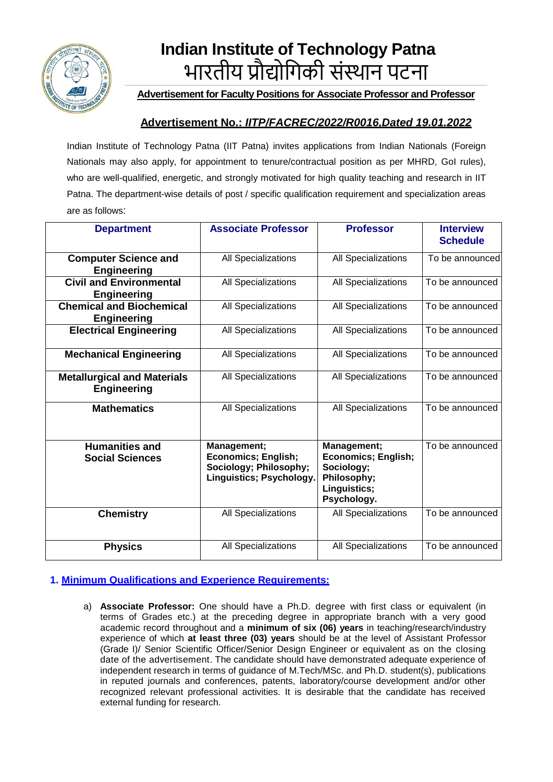

# **Indian Institute of Technology Patna** भारतीय प्रौद्योगिकी संस्थान पटना

**Advertisement for Faculty Positions for Associate Professor and Professor**

# **Advertisement No.:** *IITP/FACREC/2022/R0016,Dated 19.01.2022*

Indian Institute of Technology Patna (IIT Patna) invites applications from Indian Nationals (Foreign Nationals may also apply, for appointment to tenure/contractual position as per MHRD, GoI rules), who are well-qualified, energetic, and strongly motivated for high quality teaching and research in IIT Patna. The department-wise details of post / specific qualification requirement and specialization areas are as follows:

| <b>Department</b>                                        | <b>Associate Professor</b>                                                                      | <b>Professor</b>                                                                                      | <b>Interview</b><br><b>Schedule</b> |
|----------------------------------------------------------|-------------------------------------------------------------------------------------------------|-------------------------------------------------------------------------------------------------------|-------------------------------------|
| <b>Computer Science and</b><br><b>Engineering</b>        | All Specializations                                                                             | All Specializations                                                                                   | To be announced                     |
| <b>Civil and Environmental</b><br><b>Engineering</b>     | All Specializations                                                                             | All Specializations                                                                                   | To be announced                     |
| <b>Chemical and Biochemical</b><br><b>Engineering</b>    | All Specializations                                                                             | All Specializations                                                                                   | To be announced                     |
| <b>Electrical Engineering</b>                            | All Specializations                                                                             | All Specializations                                                                                   | To be announced                     |
| <b>Mechanical Engineering</b>                            | <b>All Specializations</b>                                                                      | All Specializations                                                                                   | To be announced                     |
| <b>Metallurgical and Materials</b><br><b>Engineering</b> | All Specializations                                                                             | All Specializations                                                                                   | To be announced                     |
| <b>Mathematics</b>                                       | All Specializations                                                                             | All Specializations                                                                                   | To be announced                     |
| <b>Humanities and</b><br><b>Social Sciences</b>          | Management;<br><b>Economics; English;</b><br>Sociology; Philosophy;<br>Linguistics; Psychology. | Management;<br><b>Economics; English;</b><br>Sociology;<br>Philosophy;<br>Linguistics;<br>Psychology. | To be announced                     |
| <b>Chemistry</b>                                         | All Specializations                                                                             | All Specializations                                                                                   | To be announced                     |
| <b>Physics</b>                                           | All Specializations                                                                             | All Specializations                                                                                   | To be announced                     |

## **1. Minimum Qualifications and Experience Requirements:**

a) **Associate Professor:** One should have a Ph.D. degree with first class or equivalent (in terms of Grades etc.) at the preceding degree in appropriate branch with a very good academic record throughout and a **minimum of six (06) years** in teaching/research/industry experience of which **at least three (03) years** should be at the level of Assistant Professor (Grade I)/ Senior Scientific Officer/Senior Design Engineer or equivalent as on the closing date of the advertisement. The candidate should have demonstrated adequate experience of independent research in terms of guidance of M.Tech/MSc. and Ph.D. student(s), publications in reputed journals and conferences, patents, laboratory/course development and/or other recognized relevant professional activities. It is desirable that the candidate has received external funding for research.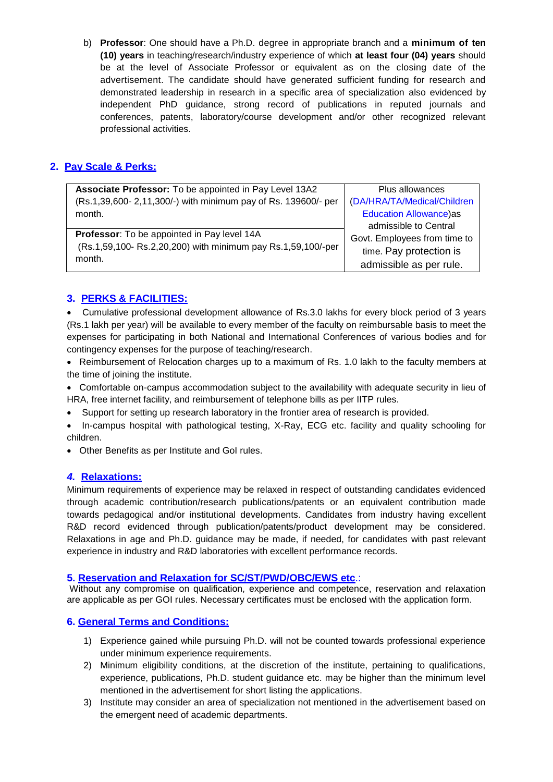b) **Professor**: One should have a Ph.D. degree in appropriate branch and a **minimum of ten (10) years** in teaching/research/industry experience of which **at least four (04) years** should be at the level of Associate Professor or equivalent as on the closing date of the advertisement. The candidate should have generated sufficient funding for research and demonstrated leadership in research in a specific area of specialization also evidenced by independent PhD guidance, strong record of publications in reputed journals and conferences, patents, laboratory/course development and/or other recognized relevant professional activities.

## **2. Pay Scale & Perks:**

| Associate Professor: To be appointed in Pay Level 13A2        | Plus allowances               |  |
|---------------------------------------------------------------|-------------------------------|--|
| (Rs.1,39,600-2,11,300/-) with minimum pay of Rs. 139600/- per | (DA/HRA/TA/Medical/Children   |  |
| month.                                                        | <b>Education Allowance)as</b> |  |
|                                                               | admissible to Central         |  |
| Professor: To be appointed in Pay level 14A                   | Govt. Employees from time to  |  |
| (Rs.1,59,100-Rs.2,20,200) with minimum pay Rs.1,59,100/-per   | time. Pay protection is       |  |
| month.                                                        | admissible as per rule.       |  |

# **3. PERKS & FACILITIES:**

• Cumulative professional development allowance of Rs.3.0 lakhs for every block period of 3 years (Rs.1 lakh per year) will be available to every member of the faculty on reimbursable basis to meet the expenses for participating in both National and International Conferences of various bodies and for contingency expenses for the purpose of teaching/research.

• Reimbursement of Relocation charges up to a maximum of Rs. 1.0 lakh to the faculty members at the time of joining the institute.

• Comfortable on-campus accommodation subject to the availability with adequate security in lieu of HRA, free internet facility, and reimbursement of telephone bills as per IITP rules.

- Support for setting up research laboratory in the frontier area of research is provided.
- In-campus hospital with pathological testing, X-Ray, ECG etc. facility and quality schooling for children.
- Other Benefits as per Institute and GoI rules.

## *4.* **Relaxations:**

Minimum requirements of experience may be relaxed in respect of outstanding candidates evidenced through academic contribution/research publications/patents or an equivalent contribution made towards pedagogical and/or institutional developments. Candidates from industry having excellent R&D record evidenced through publication/patents/product development may be considered. Relaxations in age and Ph.D. guidance may be made, if needed, for candidates with past relevant experience in industry and R&D laboratories with excellent performance records.

## **5. Reservation and Relaxation for SC/ST/PWD/OBC/EWS etc**.:

Without any compromise on qualification, experience and competence, reservation and relaxation are applicable as per GOI rules. Necessary certificates must be enclosed with the application form.

## **6. General Terms and Conditions:**

- 1) Experience gained while pursuing Ph.D. will not be counted towards professional experience under minimum experience requirements.
- 2) Minimum eligibility conditions, at the discretion of the institute, pertaining to qualifications, experience, publications, Ph.D. student guidance etc. may be higher than the minimum level mentioned in the advertisement for short listing the applications.
- 3) Institute may consider an area of specialization not mentioned in the advertisement based on the emergent need of academic departments.